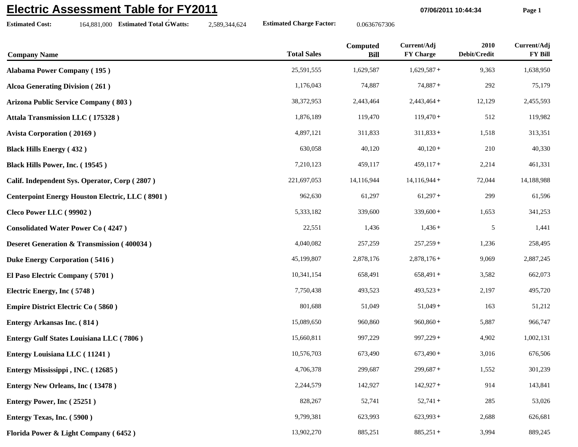## **Electric Assessment Table for FY2011**

**Estimated Cost:**

164,881,000 **Estimated Total GWatts:** 2,589,344,624 **Estimated Charge Factor:** 0.0636767306

**07/06/2011 10:44:34 Page 1**

| <b>Company Name</b>                                    | <b>Total Sales</b> | Computed<br><b>Bill</b> | Current/Adj<br><b>FY Charge</b> | 2010<br>Debit/Credit | Current/Adj<br><b>FY Bill</b> |
|--------------------------------------------------------|--------------------|-------------------------|---------------------------------|----------------------|-------------------------------|
| <b>Alabama Power Company (195)</b>                     | 25,591,555         | 1,629,587               | $1,629,587+$                    | 9,363                | 1,638,950                     |
| <b>Alcoa Generating Division (261)</b>                 | 1,176,043          | 74,887                  | $74,887+$                       | 292                  | 75,179                        |
| <b>Arizona Public Service Company (803)</b>            | 38,372,953         | 2,443,464               | $2,443,464+$                    | 12,129               | 2,455,593                     |
| Attala Transmission LLC (175328)                       | 1,876,189          | 119,470                 | $119,470+$                      | 512                  | 119,982                       |
| <b>Avista Corporation (20169)</b>                      | 4,897,121          | 311,833                 | $311,833+$                      | 1,518                | 313,351                       |
| <b>Black Hills Energy (432)</b>                        | 630,058            | 40,120                  | $40,120+$                       | 210                  | 40,330                        |
| Black Hills Power, Inc. (19545)                        | 7,210,123          | 459,117                 | $459,117+$                      | 2,214                | 461,331                       |
| Calif. Independent Sys. Operator, Corp (2807)          | 221,697,053        | 14,116,944              | $14,116,944+$                   | 72,044               | 14,188,988                    |
| <b>Centerpoint Energy Houston Electric, LLC (8901)</b> | 962,630            | 61,297                  | $61,297+$                       | 299                  | 61,596                        |
| Cleco Power LLC (99902)                                | 5,333,182          | 339,600                 | $339,600+$                      | 1,653                | 341,253                       |
| <b>Consolidated Water Power Co (4247)</b>              | 22,551             | 1,436                   | $1,436+$                        | 5                    | 1,441                         |
| <b>Deseret Generation &amp; Transmission (400034)</b>  | 4,040,082          | 257,259                 | $257,259+$                      | 1,236                | 258,495                       |
| <b>Duke Energy Corporation (5416)</b>                  | 45,199,807         | 2,878,176               | $2,878,176+$                    | 9,069                | 2,887,245                     |
| El Paso Electric Company (5701)                        | 10,341,154         | 658,491                 | $658,491+$                      | 3,582                | 662,073                       |
| Electric Energy, Inc (5748)                            | 7,750,438          | 493,523                 | $493,523+$                      | 2,197                | 495,720                       |
| <b>Empire District Electric Co (5860)</b>              | 801,688            | 51,049                  | $51,049+$                       | 163                  | 51,212                        |
| <b>Entergy Arkansas Inc. (814)</b>                     | 15,089,650         | 960,860                 | $960,860+$                      | 5,887                | 966,747                       |
| Entergy Gulf States Louisiana LLC (7806)               | 15,660,811         | 997,229                 | $997,229+$                      | 4,902                | 1,002,131                     |
| <b>Entergy Louisiana LLC</b> (11241)                   | 10,576,703         | 673,490                 | $673,490+$                      | 3,016                | 676,506                       |
| Entergy Mississippi, INC. (12685)                      | 4,706,378          | 299,687                 | $299,687+$                      | 1,552                | 301,239                       |
| <b>Entergy New Orleans, Inc (13478)</b>                | 2,244,579          | 142,927                 | $142,927+$                      | 914                  | 143,841                       |
| Entergy Power, Inc (25251)                             | 828,267            | 52,741                  | $52,741+$                       | 285                  | 53,026                        |
| Entergy Texas, Inc. (5900)                             | 9,799,381          | 623,993                 | $623,993+$                      | 2,688                | 626,681                       |
| Florida Power & Light Company (6452)                   | 13,902,270         | 885,251                 | $885,251+$                      | 3,994                | 889,245                       |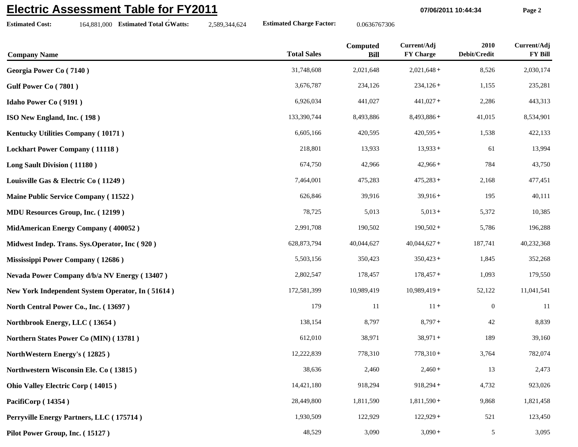## **Electric Assessment Table for FY2011**

**07/06/2011 10:44:34 Page 2**

**Estimated Cost:**

164,881,000 **Estimated Total GWatts:** 2,589,344,624 **Estimated Charge Factor:** 0.0636767306

| <b>Company Name</b>                              | <b>Total Sales</b> | Computed<br><b>Bill</b> | Current/Adj<br><b>FY Charge</b> | 2010<br>Debit/Credit | Current/Adj<br><b>FY Bill</b> |
|--------------------------------------------------|--------------------|-------------------------|---------------------------------|----------------------|-------------------------------|
| Georgia Power Co (7140)                          | 31,748,608         | 2,021,648               | $2,021,648+$                    | 8,526                | 2,030,174                     |
| Gulf Power Co (7801)                             | 3,676,787          | 234,126                 | $234,126+$                      | 1,155                | 235,281                       |
| <b>Idaho Power Co (9191)</b>                     | 6,926,034          | 441,027                 | $441,027+$                      | 2,286                | 443,313                       |
| ISO New England, Inc. (198)                      | 133,390,744        | 8,493,886               | $8,493,886+$                    | 41,015               | 8,534,901                     |
| Kentucky Utilities Company (10171)               | 6,605,166          | 420,595                 | $420,595+$                      | 1,538                | 422,133                       |
| <b>Lockhart Power Company (11118)</b>            | 218,801            | 13,933                  | $13,933+$                       | 61                   | 13,994                        |
| <b>Long Sault Division (11180)</b>               | 674,750            | 42,966                  | $42,966+$                       | 784                  | 43,750                        |
| Louisville Gas & Electric Co (11249)             | 7,464,001          | 475,283                 | $475,283+$                      | 2,168                | 477,451                       |
| Maine Public Service Company (11522)             | 626,846            | 39,916                  | $39,916+$                       | 195                  | 40,111                        |
| <b>MDU Resources Group, Inc. (12199)</b>         | 78,725             | 5,013                   | $5,013+$                        | 5,372                | 10,385                        |
| MidAmerican Energy Company (400052)              | 2,991,708          | 190,502                 | $190,502+$                      | 5,786                | 196,288                       |
| Midwest Indep. Trans. Sys.Operator, Inc (920)    | 628, 873, 794      | 40,044,627              | $40,044,627+$                   | 187,741              | 40,232,368                    |
| Mississippi Power Company (12686)                | 5,503,156          | 350,423                 | $350,423+$                      | 1,845                | 352,268                       |
| Nevada Power Company d/b/a NV Energy (13407)     | 2,802,547          | 178,457                 | $178,457+$                      | 1,093                | 179,550                       |
| New York Independent System Operator, In (51614) | 172,581,399        | 10,989,419              | $10,989,419+$                   | 52,122               | 11,041,541                    |
| North Central Power Co., Inc. (13697)            | 179                | 11                      | $11 +$                          | $\boldsymbol{0}$     | -11                           |
| Northbrook Energy, LLC (13654)                   | 138,154            | 8,797                   | $8,797+$                        | 42                   | 8,839                         |
| Northern States Power Co (MIN) (13781)           | 612,010            | 38,971                  | $38,971+$                       | 189                  | 39,160                        |
| NorthWestern Energy's (12825)                    | 12,222,839         | 778,310                 | $778,310+$                      | 3,764                | 782,074                       |
| Northwestern Wisconsin Ele. Co (13815)           | 38,636             | 2,460                   | $2,460+$                        | 13                   | 2,473                         |
| Ohio Valley Electric Corp (14015)                | 14,421,180         | 918,294                 | $918,294+$                      | 4,732                | 923,026                       |
| PacifiCorp (14354)                               | 28,449,800         | 1,811,590               | $1,811,590+$                    | 9,868                | 1,821,458                     |
| Perryville Energy Partners, LLC (175714)         | 1,930,509          | 122,929                 | $122,929+$                      | 521                  | 123,450                       |
|                                                  |                    |                         |                                 |                      |                               |

**Pilot Power Group, Inc. (15127**) 48,529 3,090 3,090 3,090 5 3,095 3,095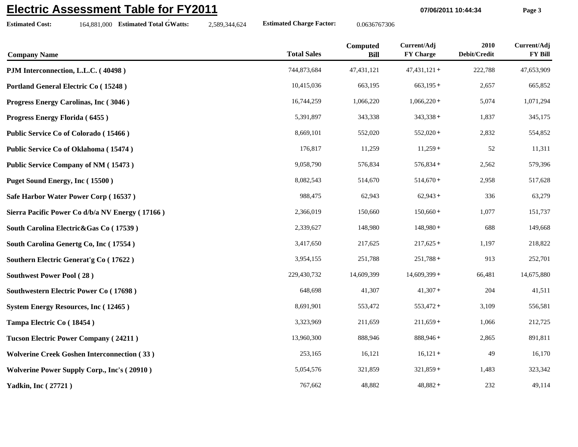## **Electric Assessment Table for FY2011**

**Estimated Cost:**

164,881,000 **Estimated Total GWatts:** 2,589,344,624 **Estimated Charge Factor:** 0.0636767306

**07/06/2011 10:44:34 Page 3**

| <b>Company Name</b>                                | <b>Total Sales</b> | Computed<br><b>Bill</b> | Current/Adj<br><b>FY Charge</b> | 2010<br>Debit/Credit | Current/Adj<br><b>FY Bill</b> |
|----------------------------------------------------|--------------------|-------------------------|---------------------------------|----------------------|-------------------------------|
| PJM Interconnection, L.L.C. (40498)                | 744,873,684        | 47,431,121              | $47,431,121+$                   | 222,788              | 47,653,909                    |
| Portland General Electric Co (15248)               | 10,415,036         | 663,195                 | $663,195+$                      | 2,657                | 665,852                       |
| Progress Energy Carolinas, Inc (3046)              | 16,744,259         | 1,066,220               | $1,066,220+$                    | 5,074                | 1,071,294                     |
| Progress Energy Florida (6455)                     | 5,391,897          | 343,338                 | $343,338+$                      | 1,837                | 345,175                       |
| Public Service Co of Colorado (15466)              | 8,669,101          | 552,020                 | $552,020+$                      | 2,832                | 554,852                       |
| Public Service Co of Oklahoma (15474)              | 176,817            | 11,259                  | $11,259+$                       | 52                   | 11,311                        |
| <b>Public Service Company of NM (15473)</b>        | 9,058,790          | 576,834                 | $576,834+$                      | 2,562                | 579,396                       |
| Puget Sound Energy, Inc (15500)                    | 8,082,543          | 514,670                 | $514,670+$                      | 2,958                | 517,628                       |
| Safe Harbor Water Power Corp (16537)               | 988,475            | 62,943                  | $62,943+$                       | 336                  | 63,279                        |
| Sierra Pacific Power Co d/b/a NV Energy (17166)    | 2,366,019          | 150,660                 | $150,660+$                      | 1,077                | 151,737                       |
| South Carolina Electric&Gas Co (17539)             | 2,339,627          | 148,980                 | $148,980+$                      | 688                  | 149,668                       |
| South Carolina Genertg Co, Inc (17554)             | 3,417,650          | 217,625                 | $217,625+$                      | 1,197                | 218,822                       |
| Southern Electric Generat's Co (17622)             | 3,954,155          | 251,788                 | $251,788+$                      | 913                  | 252,701                       |
| <b>Southwest Power Pool (28)</b>                   | 229,430,732        | 14,609,399              | $14,609,399+$                   | 66,481               | 14,675,880                    |
| <b>Southwestern Electric Power Co (17698)</b>      | 648,698            | 41,307                  | $41,307+$                       | 204                  | 41,511                        |
| <b>System Energy Resources, Inc (12465)</b>        | 8,691,901          | 553,472                 | $553,472+$                      | 3,109                | 556,581                       |
| Tampa Electric Co (18454)                          | 3,323,969          | 211,659                 | $211,659+$                      | 1,066                | 212,725                       |
| <b>Tucson Electric Power Company (24211)</b>       | 13,960,300         | 888,946                 | $888,946+$                      | 2,865                | 891,811                       |
| <b>Wolverine Creek Goshen Interconnection (33)</b> | 253,165            | 16,121                  | $16,121+$                       | 49                   | 16,170                        |
| <b>Wolverine Power Supply Corp., Inc's (20910)</b> | 5,054,576          | 321,859                 | $321,859+$                      | 1,483                | 323,342                       |
| <b>Yadkin, Inc (27721)</b>                         | 767,662            | 48,882                  | $48,882+$                       | 232                  | 49,114                        |